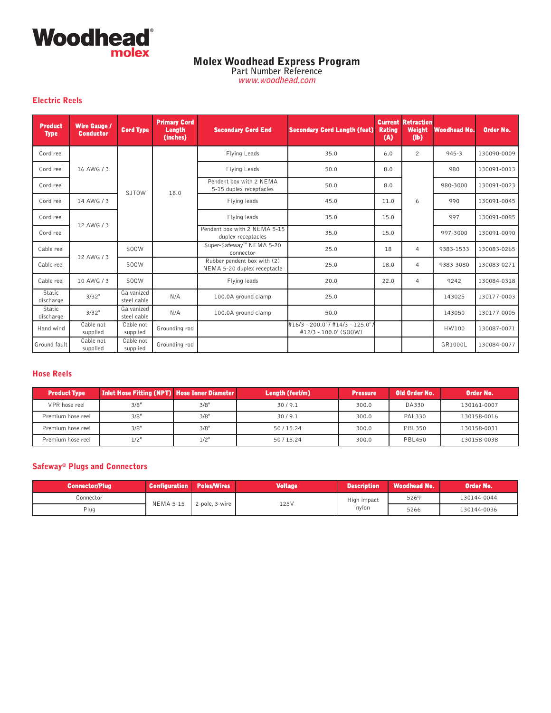

**Part Number Reference www.woodhead.com**

#### **Electric Reels**

| <b>Product</b><br><b>Type</b> | <b>Wire Gauge /</b><br><b>Conductor</b> | <b>Cord Type</b>          | <b>Primary Cord</b><br><b>Length</b><br>(inches) | <b>Secondary Cord End</b>                                  | <b>Secondary Cord Length (feet)</b>                      | <b>Rating</b><br>(A) | <b>Current Retraction</b><br><b>Weight</b><br>$(\mathbf{lb})$ | <b>Woodhead No.</b> | <b>Order No.</b> |              |      |      |  |     |
|-------------------------------|-----------------------------------------|---------------------------|--------------------------------------------------|------------------------------------------------------------|----------------------------------------------------------|----------------------|---------------------------------------------------------------|---------------------|------------------|--------------|------|------|--|-----|
| Cord reel                     |                                         |                           |                                                  | Flying Leads                                               | 35.0                                                     | 6.0                  | $\overline{c}$                                                | $945 - 3$           | 130090-0009      |              |      |      |  |     |
| Cord reel                     | 16 AWG / 3                              |                           |                                                  | Flying Leads                                               | 50.0                                                     | 8.0                  |                                                               | 980                 | 130091-0013      |              |      |      |  |     |
| Cord reel                     |                                         | <b>SJTOW</b>              | 18.0                                             | Pendent box with 2 NEMA<br>5-15 duplex receptacles         | 50.0                                                     | 8.0                  |                                                               | 980-3000            | 130091-0023      |              |      |      |  |     |
| Cord reel                     | 14 AWG / 3                              |                           |                                                  | Flying leads                                               | 45.0                                                     | 11.0                 | 6                                                             | 990                 | 130091-0045      |              |      |      |  |     |
| Cord reel                     | 12 AWG / 3                              |                           |                                                  |                                                            |                                                          |                      |                                                               |                     |                  | Flying leads | 35.0 | 15.0 |  | 997 |
| Cord reel                     |                                         |                           |                                                  | Pendent box with 2 NEMA 5-15<br>duplex receptacles         | 35.0                                                     | 15.0                 |                                                               | 997-3000            | 130091-0090      |              |      |      |  |     |
| Cable reel                    | 12 AWG / 3                              | <b>S00W</b>               |                                                  | Super-Safeway™ NEMA 5-20<br>connector                      | 25.0                                                     | 18                   | $\overline{4}$                                                | 9383-1533           | 130083-0265      |              |      |      |  |     |
| Cable reel                    |                                         | SOOW.                     |                                                  | Rubber pendent box with (2)<br>NEMA 5-20 duplex receptacle | 25.0                                                     | 18.0                 | 4                                                             | 9383-3080           | 130083-0271      |              |      |      |  |     |
| Cable reel                    | 10 AWG / 3                              | S00W                      |                                                  | Flying leads                                               | 20.0                                                     | 22.0                 | 4                                                             | 9242                | 130084-0318      |              |      |      |  |     |
| Static<br>discharge           | 3/32"                                   | Galvanized<br>steel cable | N/A                                              | 100.0A ground clamp                                        | 25.0                                                     |                      |                                                               | 143025              | 130177-0003      |              |      |      |  |     |
| <b>Static</b><br>discharge    | 3/32"                                   | Galvanized<br>steel cable | N/A                                              | 100.0A ground clamp                                        | 50.0                                                     |                      |                                                               | 143050              | 130177-0005      |              |      |      |  |     |
| Hand wind                     | Cable not<br>supplied                   | Cable not<br>supplied     | Grounding rod                                    |                                                            | #16/3 - 200.0' / #14/3 - 125.0'<br>#12/3 - 100.0' (SOOW) |                      |                                                               | HW100               | 130087-0071      |              |      |      |  |     |
| Ground fault                  | Cable not<br>supplied                   | Cable not<br>supplied     | Grounding rod                                    |                                                            |                                                          |                      |                                                               | GR1000L             | 130084-0077      |              |      |      |  |     |

#### **Hose Reels**

| <b>Product Type</b> | <b>Inlet Hose Fitting (NPT) Hose Inner Diameter</b> |      | Length (feet/m) | <b>Pressure</b> | Old Order No. | Order No.   |
|---------------------|-----------------------------------------------------|------|-----------------|-----------------|---------------|-------------|
| VPR hose reel       | 3/8"                                                | 3/8" | 30/9.1          | 300.0           | DA330         | 130161-0007 |
| Premium hose reel   | 3/8"                                                | 3/8" | 30/9.1          | 300.0           | <b>PAL330</b> | 130158-0016 |
| Premium hose reel   | 3/8"                                                | 3/8" | 50/15.24        | 300.0           | <b>PBL350</b> | 130158-0031 |
| Premium hose reel   | 1/2"                                                | 1/2" | 50/15.24        | 300.0           | <b>PBL450</b> | 130158-0038 |

### **Safeway® Plugs and Connectors**

| <b>Connector/Plug</b> | <b>Configuration</b> | <b>Poles/Wires</b> | <b>Voltage</b> | <b>Description</b> | <b>Woodhead No.</b> | Order No.   |
|-----------------------|----------------------|--------------------|----------------|--------------------|---------------------|-------------|
| Connector             | <b>NEMA 5-15</b>     | 2-pole, $3$ -wire  | 125V           | High impact        | 5269                | 130144-0044 |
| Plug                  |                      |                    |                | nvlon              | 5266                | 130144-0036 |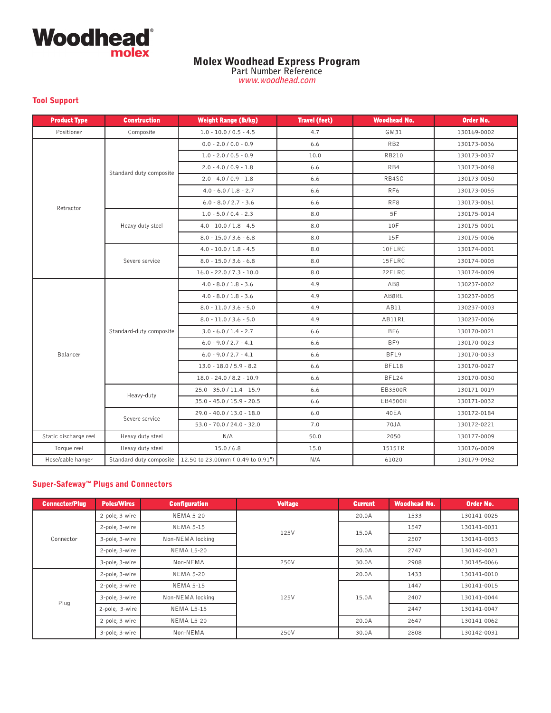

**Part Number Reference www.woodhead.com**

#### **Tool Support**

| <b>Product Type</b>   | <b>Construction</b>     | <b>Weight Range (lb/kg)</b>      | <b>Travel (feet)</b> | <b>Woodhead No.</b> | Order No.   |
|-----------------------|-------------------------|----------------------------------|----------------------|---------------------|-------------|
| Positioner            | Composite               | $1.0 - 10.0 / 0.5 - 4.5$         | 4.7                  | GM31                | 130169-0002 |
|                       |                         | $0.0 - 2.0 / 0.0 - 0.9$          | 6.6                  | RB <sub>2</sub>     | 130173-0036 |
|                       |                         | $1.0 - 2.0 / 0.5 - 0.9$          | 10.0                 | <b>RB210</b>        | 130173-0037 |
|                       |                         | $2.0 - 4.0 / 0.9 - 1.8$          | 6.6                  | RB4                 | 130173-0048 |
|                       | Standard duty composite | $2.0 - 4.0 / 0.9 - 1.8$          | 6.6                  | RB4SC               | 130173-0050 |
|                       |                         | $4.0 - 6.0 / 1.8 - 2.7$          | 6.6                  | RF <sub>6</sub>     | 130173-0055 |
| Retractor             |                         | $6.0 - 8.0 / 2.7 - 3.6$          | 6.6                  | RF <sub>8</sub>     | 130173-0061 |
|                       |                         | $1.0 - 5.0 / 0.4 - 2.3$          | 8.0                  | 5F                  | 130175-0014 |
|                       | Heavy duty steel        | $4.0 - 10.0 / 1.8 - 4.5$         | 8.0                  | 10F                 | 130175-0001 |
|                       |                         | $8.0 - 15.0 / 3.6 - 6.8$         | 8.0                  | 15F                 | 130175-0006 |
|                       |                         | $4.0 - 10.0 / 1.8 - 4.5$         | 8.0                  | 10FLRC              | 130174-0001 |
|                       | Severe service          | $8.0 - 15.0 / 3.6 - 6.8$         | 8.0                  | 15FLRC              | 130174-0005 |
|                       |                         | $16.0 - 22.0 / 7.3 - 10.0$       | 8.0                  | 22FLRC              | 130174-0009 |
|                       |                         | $4.0 - 8.0 / 1.8 - 3.6$          | 4.9                  | AB8                 | 130237-0002 |
|                       |                         | $4.0 - 8.0 / 1.8 - 3.6$          | 4.9                  | AB8RL               | 130237-0005 |
|                       |                         | $8.0 - 11.0 / 3.6 - 5.0$         | 4.9                  | AB11                | 130237-0003 |
|                       |                         | $8.0 - 11.0 / 3.6 - 5.0$         | 4.9                  | AB11RL              | 130237-0006 |
|                       | Standard-duty composite | $3.0 - 6.0 / 1.4 - 2.7$          | 6.6                  | BF <sub>6</sub>     | 130170-0021 |
|                       |                         | $6.0 - 9.0 / 2.7 - 4.1$          | 6.6                  | BF9                 | 130170-0023 |
| Balancer              |                         | $6.0 - 9.0 / 2.7 - 4.1$          | 6.6                  | BFL9                | 130170-0033 |
|                       |                         | $13.0 - 18.0 / 5.9 - 8.2$        | 6.6                  | BFL18               | 130170-0027 |
|                       |                         | $18.0 - 24.0 / 8.2 - 10.9$       | 6.6                  | BFL24               | 130170-0030 |
|                       | Heavy-duty              | 25.0 - 35.0 / 11.4 - 15.9        | 6.6                  | EB3500R             | 130171-0019 |
|                       |                         | 35.0 - 45.0 / 15.9 - 20.5        | 6.6                  | EB4500R             | 130171-0032 |
|                       | Severe service          | 29.0 - 40.0 / 13.0 - 18.0        | 6.0                  | 40EA                | 130172-0184 |
|                       |                         | $53.0 - 70.0 / 24.0 - 32.0$      | 7.0                  | 70JA                | 130172-0221 |
| Static discharge reel | Heavy duty steel        | N/A                              | 50.0                 | 2050                | 130177-0009 |
| Torque reel           | Heavy duty steel        | 15.0/6.8                         | 15.0                 | 1515TR              | 130176-0009 |
| Hose/cable hanger     | Standard duty composite | 12.50 to 23.00mm (0.49 to 0.91") | N/A                  | 61020               | 130179-0962 |

### **Super-Safeway™ Plugs and Connectors**

| <b>Connector/Plug</b> | <b>Poles/Wires</b> | <b>Configuration</b> | <b>Voltage</b> | <b>Current</b> | <b>Woodhead No.</b> | Order No.   |
|-----------------------|--------------------|----------------------|----------------|----------------|---------------------|-------------|
|                       | 2-pole, 3-wire     | <b>NEMA 5-20</b>     |                | 20.0A          | 1533                | 130141-0025 |
|                       | 2-pole, 3-wire     | <b>NEMA 5-15</b>     | 125V           | 15.0A          | 1547                | 130141-0031 |
| Connector             | 3-pole, 3-wire     | Non-NEMA locking     |                |                | 2507                | 130141-0053 |
|                       | 2-pole, 3-wire     | NEMA L5-20           |                | 20.0A          | 2747                | 130142-0021 |
|                       | 3-pole, 3-wire     | Non-NEMA             | 250V           | 30.0A          | 2908                | 130145-0066 |
|                       | 2-pole, 3-wire     | <b>NEMA 5-20</b>     |                | 20.0A          | 1433                | 130141-0010 |
|                       | 2-pole, 3-wire     | <b>NEMA 5-15</b>     |                |                | 1447                | 130141-0015 |
| Plug                  | 3-pole, 3-wire     | Non-NEMA locking     | 125V           | 15.0A          | 2407                | 130141-0044 |
|                       | 2-pole, 3-wire     | <b>NEMA L5-15</b>    |                |                | 2447                | 130141-0047 |
|                       | 2-pole, 3-wire     | <b>NEMA L5-20</b>    |                | 20.0A          | 2647                | 130141-0062 |
|                       | 3-pole, 3-wire     | Non-NEMA             | 250V           | 30.0A          | 2808                | 130142-0031 |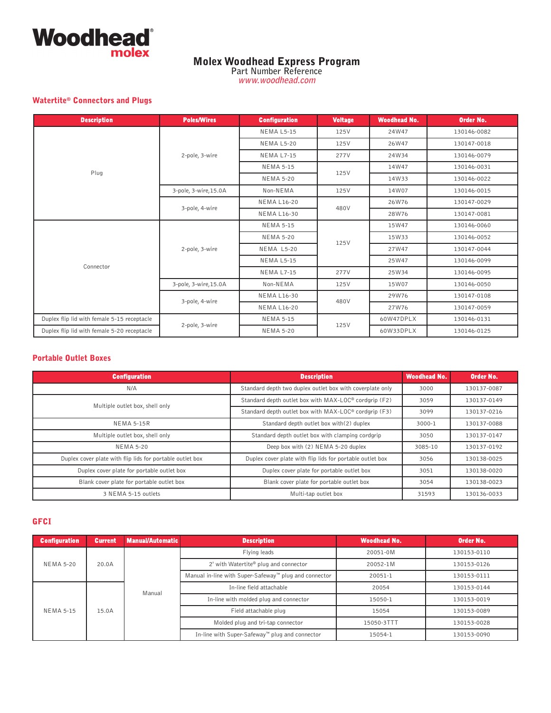

**Part Number Reference www.woodhead.com**

#### **Watertite® Connectors and Plugs**

| <b>Description</b>                          | <b>Poles/Wires</b>    | <b>Configuration</b> | <b>Voltage</b> | <b>Woodhead No.</b> | Order No.   |
|---------------------------------------------|-----------------------|----------------------|----------------|---------------------|-------------|
|                                             |                       | <b>NEMA L5-15</b>    | 125V           | 24W47               | 130146-0082 |
|                                             |                       | <b>NEMA L5-20</b>    | 125V           | 26W47               | 130147-0018 |
|                                             | 2-pole, 3-wire        | <b>NEMA L7-15</b>    | 277V           | 24W34               | 130146-0079 |
| Plug                                        |                       | <b>NEMA 5-15</b>     | 125V           | 14W47               | 130146-0031 |
|                                             |                       | <b>NEMA 5-20</b>     |                | 14W33               | 130146-0022 |
|                                             | 3-pole, 3-wire, 15.0A | Non-NEMA             | 125V           | 14W07               | 130146-0015 |
|                                             | 3-pole, 4-wire        | <b>NEMA L16-20</b>   | 480V           | 26W76               | 130147-0029 |
|                                             |                       | <b>NEMA L16-30</b>   |                | 28W76               | 130147-0081 |
|                                             |                       | <b>NEMA 5-15</b>     |                | 15W47               | 130146-0060 |
|                                             |                       | <b>NEMA 5-20</b>     | 125V           | 15W33               | 130146-0052 |
|                                             | 2-pole, 3-wire        | NEMA L5-20           |                | 27W47               | 130147-0044 |
| Connector                                   |                       | <b>NEMA L5-15</b>    |                | 25W47               | 130146-0099 |
|                                             |                       | <b>NEMA L7-15</b>    | 277V           | 25W34               | 130146-0095 |
|                                             | 3-pole, 3-wire, 15.0A | Non-NEMA             | 125V           | 15W07               | 130146-0050 |
|                                             | 3-pole, 4-wire        | <b>NEMA L16-30</b>   | 480V           | 29W76               | 130147-0108 |
|                                             |                       | <b>NEMA L16-20</b>   |                | 27W76               | 130147-0059 |
| Duplex flip lid with female 5-15 receptacle | 2-pole, 3-wire        | <b>NEMA 5-15</b>     | 125V           | 60W47DPLX           | 130146-0131 |
| Duplex flip lid with female 5-20 receptacle |                       | <b>NEMA 5-20</b>     |                | 60W33DPLX           | 130146-0125 |

#### **Portable Outlet Boxes**

| <b>Configuration</b>                                      | <b>Description</b>                                        | <b>Woodhead No.</b> | Order No.   |
|-----------------------------------------------------------|-----------------------------------------------------------|---------------------|-------------|
| N/A                                                       | Standard depth two duplex outlet box with coverplate only | 3000                | 130137-0087 |
| Multiple outlet box, shell only                           | Standard depth outlet box with MAX-LOC® cordgrip (F2)     | 3059                | 130137-0149 |
|                                                           | Standard depth outlet box with MAX-LOC® cordgrip (F3)     | 3099                | 130137-0216 |
| <b>NEMA 5-15R</b>                                         | Standard depth outlet box with(2) duplex                  | 3000-1              | 130137-0088 |
| Multiple outlet box, shell only                           | Standard depth outlet box with clamping cordgrip          | 3050                | 130137-0147 |
| <b>NEMA 5-20</b>                                          | Deep box with (2) NEMA 5-20 duplex                        | 3085-10             | 130137-0192 |
| Duplex cover plate with flip lids for portable outlet box | Duplex cover plate with flip lids for portable outlet box | 3056                | 130138-0025 |
| Duplex cover plate for portable outlet box                | Duplex cover plate for portable outlet box                | 3051                | 130138-0020 |
| Blank cover plate for portable outlet box                 | Blank cover plate for portable outlet box                 | 3054                | 130138-0023 |
| 3 NEMA 5-15 outlets                                       | Multi-tap outlet box                                      | 31593               | 130136-0033 |

#### **GFCI**

| <b>Configuration</b> | <b>Current</b> | Manual/Automatic | <b>Description</b>                                    | <b>Woodhead No.</b> | Order No.   |
|----------------------|----------------|------------------|-------------------------------------------------------|---------------------|-------------|
| <b>NEMA 5-20</b>     |                |                  | Flying leads                                          | 20051-0M            | 130153-0110 |
|                      | 20.0A          |                  | 2' with Watertite® plug and connector                 | 20052-1M            | 130153-0126 |
|                      |                |                  | Manual in-line with Super-Safeway™ plug and connector | 20051-1             | 130153-0111 |
|                      |                | Manual           | In-line field attachable                              | 20054               | 130153-0144 |
|                      |                |                  | In-line with molded plug and connector                | 15050-1             | 130153-0019 |
| <b>NEMA 5-15</b>     | 15.0A          |                  | Field attachable plug                                 | 15054               | 130153-0089 |
|                      |                |                  | Molded plug and tri-tap connector                     | 15050-3TTT          | 130153-0028 |
|                      |                |                  | In-line with Super-Safeway™ plug and connector        | 15054-1             | 130153-0090 |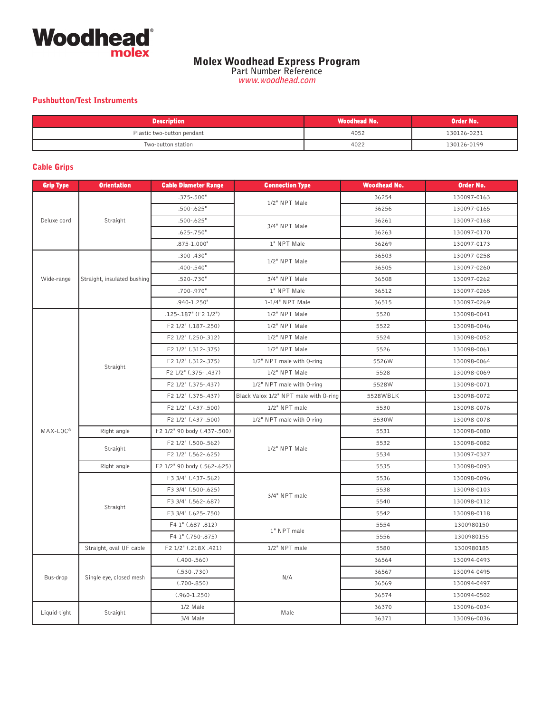

**Part Number Reference www.woodhead.com**

### **Pushbutton/Test Instruments**

| <b>Description</b>         | . Woodhead No.' | Order No.   |
|----------------------------|-----------------|-------------|
| Plastic two-button pendant | 4052            | 130126-0231 |
| Two-button station         | 4022            | 130126-0199 |

#### **Cable Grips**

| <b>Grip Type</b> | <b>Orientation</b>          | <b>Cable Diameter Range</b> | <b>Connection Type</b>                | <b>Woodhead No.</b> | <b>Order No.</b> |
|------------------|-----------------------------|-----------------------------|---------------------------------------|---------------------|------------------|
|                  |                             | $.375 - .500"$              |                                       | 36254               | 130097-0163      |
|                  |                             | $.500 - .625"$              | 1/2" NPT Male                         | 36256               | 130097-0165      |
| Deluxe cord      | Straight                    | $.500 - .625"$              | 3/4" NPT Male                         | 36261               | 130097-0168      |
|                  |                             | $.625 - .750"$              |                                       | 36263               | 130097-0170      |
|                  |                             | .875-1.000"                 | 1" NPT Male                           | 36269               | 130097-0173      |
|                  |                             | $.300 - .430"$              | 1/2" NPT Male                         | 36503               | 130097-0258      |
|                  |                             | $.400 - .540"$              |                                       | 36505               | 130097-0260      |
| Wide-range       | Straight, insulated bushing | $.520 - .730"$              | 3/4" NPT Male                         | 36508               | 130097-0262      |
|                  |                             | .700-.970"                  | 1" NPT Male                           | 36512               | 130097-0265      |
|                  |                             | .940-1.250"                 | 1-1/4" NPT Male                       | 36515               | 130097-0269      |
|                  |                             | .125-.187" (F2 1/2")        | 1/2" NPT Male                         | 5520                | 130098-0041      |
|                  |                             | F2 1/2" (.187-.250)         | 1/2" NPT Male                         | 5522                | 130098-0046      |
|                  |                             | F2 1/2" (.250-.312)         | 1/2" NPT Male                         | 5524                | 130098-0052      |
|                  |                             | F2 1/2" (.312-.375)         | 1/2" NPT Male                         | 5526                | 130098-0061      |
|                  | Straight                    | F2 1/2" (.312-.375)         | 1/2" NPT male with 0-ring             | 5526W               | 130098-0064      |
|                  |                             | F2 1/2" (.375-.437)         | 1/2" NPT Male                         | 5528                | 130098-0069      |
|                  |                             | F2 1/2" (.375-.437)         | 1/2" NPT male with 0-ring             | 5528W               | 130098-0071      |
|                  |                             | F2 1/2" (.375-.437)         | Black Valox 1/2" NPT male with 0-ring | 5528WBLK            | 130098-0072      |
|                  |                             | F2 1/2" (.437-.500)         | 1/2" NPT male                         | 5530                | 130098-0076      |
|                  |                             | F2 1/2" (.437-.500)         | 1/2" NPT male with 0-ring             | 5530W               | 130098-0078      |
| MAX-LOC®         | Right angle                 | F2 1/2" 90 body (.437-.500) |                                       | 5531                | 130098-0080      |
|                  | Straight                    | F2 1/2" (.500-.562)         | 1/2" NPT Male                         | 5532                | 130098-0082      |
|                  |                             | F2 1/2" (.562-.625)         |                                       | 5534                | 130097-0327      |
|                  | Right angle                 | F2 1/2" 90 body (.562-.625) |                                       | 5535                | 130098-0093      |
|                  |                             | F3 3/4" (.437-.562)         |                                       | 5536                | 130098-0096      |
|                  |                             | F3 3/4" (.500-.625)         | 3/4" NPT male                         | 5538                | 130098-0103      |
|                  | Straight                    | F3 3/4" (.562-.687)         |                                       | 5540                | 130098-0112      |
|                  |                             | F3 3/4" (.625-.750)         |                                       | 5542                | 130098-0118      |
|                  |                             | F4 1" (.687-.812)           | 1" NPT male                           | 5554                | 1300980150       |
|                  |                             | F4 1" (.750-.875)           |                                       | 5556                | 1300980155       |
|                  | Straight, oval UF cable     | F2 1/2" (.218X .421)        | 1/2" NPT male                         | 5580                | 1300980185       |
|                  |                             | $(.400-.560)$               |                                       | 36564               | 130094-0493      |
| Bus-drop         | Single eye, closed mesh     | $(.530-.730)$               | N/A                                   | 36567               | 130094-0495      |
|                  |                             | $(.700-.850)$               |                                       | 36569               | 130094-0497      |
|                  |                             | $(.960 - 1.250)$            |                                       | 36574               | 130094-0502      |
| Liquid-tight     | Straight                    | 1/2 Male                    | Male                                  | 36370               | 130096-0034      |
|                  |                             | 3/4 Male                    |                                       | 36371               | 130096-0036      |